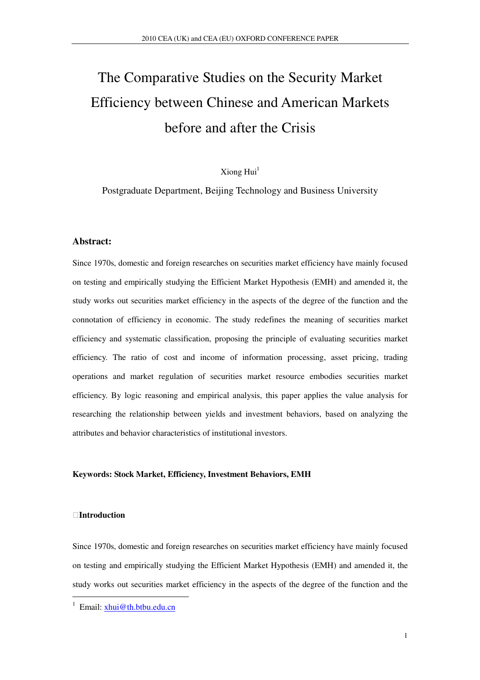# The Comparative Studies on the Security Market Efficiency between Chinese and American Markets before and after the Crisis

 $X$ iong Hui $<sup>1</sup>$ </sup>

Postgraduate Department, Beijing Technology and Business University

#### **Abstract:**

Since 1970s, domestic and foreign researches on securities market efficiency have mainly focused on testing and empirically studying the Efficient Market Hypothesis (EMH) and amended it, the study works out securities market efficiency in the aspects of the degree of the function and the connotation of efficiency in economic. The study redefines the meaning of securities market efficiency and systematic classification, proposing the principle of evaluating securities market efficiency. The ratio of cost and income of information processing, asset pricing, trading operations and market regulation of securities market resource embodies securities market efficiency. By logic reasoning and empirical analysis, this paper applies the value analysis for researching the relationship between yields and investment behaviors, based on analyzing the attributes and behavior characteristics of institutional investors.

#### **Keywords: Stock Market, Efficiency, Investment Behaviors, EMH**

#### **Introduction**

 $\ddot{ }$ 

Since 1970s, domestic and foreign researches on securities market efficiency have mainly focused on testing and empirically studying the Efficient Market Hypothesis (EMH) and amended it, the study works out securities market efficiency in the aspects of the degree of the function and the

<sup>&</sup>lt;sup>1</sup> Email: xhui@th.btbu.edu.cn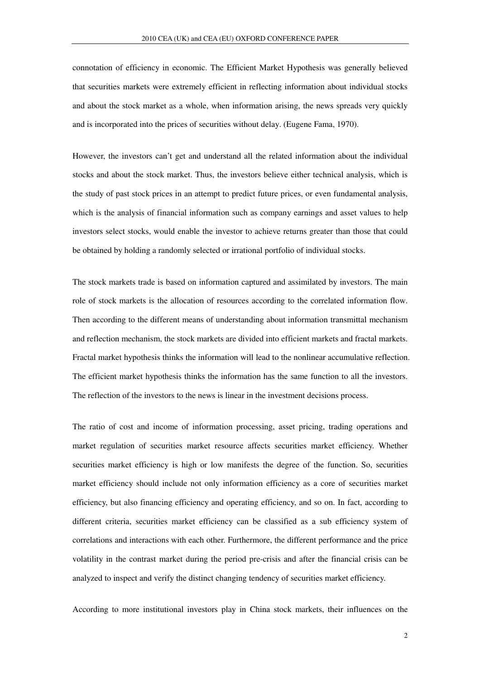connotation of efficiency in economic. The Efficient Market Hypothesis was generally believed that securities markets were extremely efficient in reflecting information about individual stocks and about the stock market as a whole, when information arising, the news spreads very quickly and is incorporated into the prices of securities without delay. (Eugene Fama, 1970).

However, the investors can't get and understand all the related information about the individual stocks and about the stock market. Thus, the investors believe either technical analysis, which is the study of past stock prices in an attempt to predict future prices, or even fundamental analysis, which is the analysis of financial information such as company earnings and asset values to help investors select stocks, would enable the investor to achieve returns greater than those that could be obtained by holding a randomly selected or irrational portfolio of individual stocks.

The stock markets trade is based on information captured and assimilated by investors. The main role of stock markets is the allocation of resources according to the correlated information flow. Then according to the different means of understanding about information transmittal mechanism and reflection mechanism, the stock markets are divided into efficient markets and fractal markets. Fractal market hypothesis thinks the information will lead to the nonlinear accumulative reflection. The efficient market hypothesis thinks the information has the same function to all the investors. The reflection of the investors to the news is linear in the investment decisions process.

The ratio of cost and income of information processing, asset pricing, trading operations and market regulation of securities market resource affects securities market efficiency. Whether securities market efficiency is high or low manifests the degree of the function. So, securities market efficiency should include not only information efficiency as a core of securities market efficiency, but also financing efficiency and operating efficiency, and so on. In fact, according to different criteria, securities market efficiency can be classified as a sub efficiency system of correlations and interactions with each other. Furthermore, the different performance and the price volatility in the contrast market during the period pre-crisis and after the financial crisis can be analyzed to inspect and verify the distinct changing tendency of securities market efficiency.

According to more institutional investors play in China stock markets, their influences on the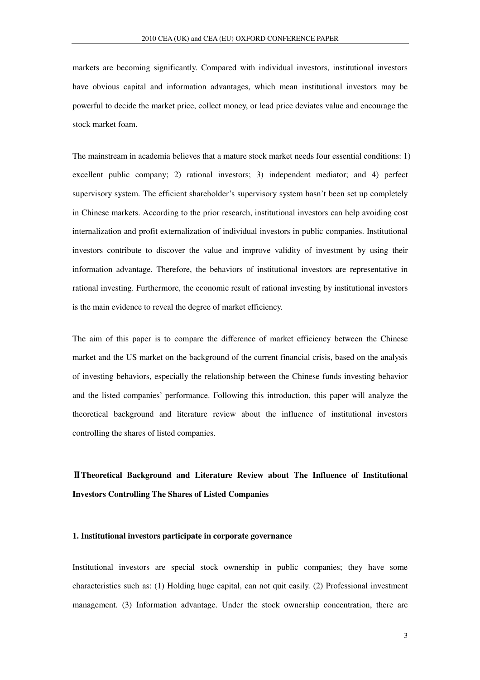markets are becoming significantly. Compared with individual investors, institutional investors have obvious capital and information advantages, which mean institutional investors may be powerful to decide the market price, collect money, or lead price deviates value and encourage the stock market foam.

The mainstream in academia believes that a mature stock market needs four essential conditions: 1) excellent public company; 2) rational investors; 3) independent mediator; and 4) perfect supervisory system. The efficient shareholder's supervisory system hasn't been set up completely in Chinese markets. According to the prior research, institutional investors can help avoiding cost internalization and profit externalization of individual investors in public companies. Institutional investors contribute to discover the value and improve validity of investment by using their information advantage. Therefore, the behaviors of institutional investors are representative in rational investing. Furthermore, the economic result of rational investing by institutional investors is the main evidence to reveal the degree of market efficiency.

The aim of this paper is to compare the difference of market efficiency between the Chinese market and the US market on the background of the current financial crisis, based on the analysis of investing behaviors, especially the relationship between the Chinese funds investing behavior and the listed companies' performance. Following this introduction, this paper will analyze the theoretical background and literature review about the influence of institutional investors controlling the shares of listed companies.

## Ⅱ**Theoretical Background and Literature Review about The Influence of Institutional Investors Controlling The Shares of Listed Companies**

#### **1. Institutional investors participate in corporate governance**

Institutional investors are special stock ownership in public companies; they have some characteristics such as: (1) Holding huge capital, can not quit easily. (2) Professional investment management. (3) Information advantage. Under the stock ownership concentration, there are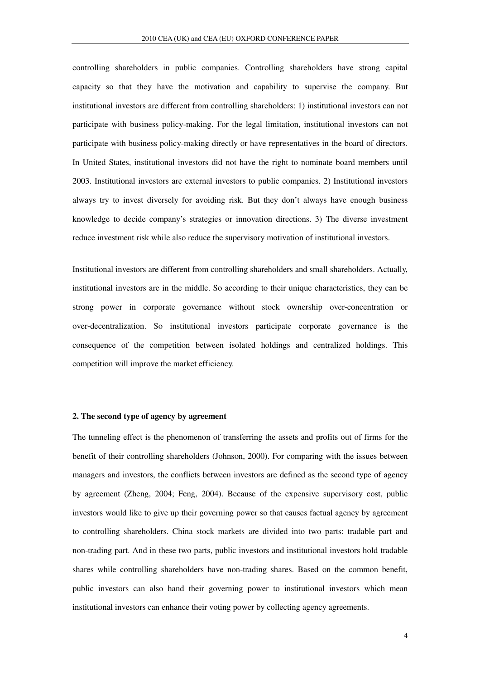controlling shareholders in public companies. Controlling shareholders have strong capital capacity so that they have the motivation and capability to supervise the company. But institutional investors are different from controlling shareholders: 1) institutional investors can not participate with business policy-making. For the legal limitation, institutional investors can not participate with business policy-making directly or have representatives in the board of directors. In United States, institutional investors did not have the right to nominate board members until 2003. Institutional investors are external investors to public companies. 2) Institutional investors always try to invest diversely for avoiding risk. But they don't always have enough business knowledge to decide company's strategies or innovation directions. 3) The diverse investment reduce investment risk while also reduce the supervisory motivation of institutional investors.

Institutional investors are different from controlling shareholders and small shareholders. Actually, institutional investors are in the middle. So according to their unique characteristics, they can be strong power in corporate governance without stock ownership over-concentration or over-decentralization. So institutional investors participate corporate governance is the consequence of the competition between isolated holdings and centralized holdings. This competition will improve the market efficiency.

#### **2. The second type of agency by agreement**

The tunneling effect is the phenomenon of transferring the assets and profits out of firms for the benefit of their controlling shareholders (Johnson, 2000). For comparing with the issues between managers and investors, the conflicts between investors are defined as the second type of agency by agreement (Zheng, 2004; Feng, 2004). Because of the expensive supervisory cost, public investors would like to give up their governing power so that causes factual agency by agreement to controlling shareholders. China stock markets are divided into two parts: tradable part and non-trading part. And in these two parts, public investors and institutional investors hold tradable shares while controlling shareholders have non-trading shares. Based on the common benefit, public investors can also hand their governing power to institutional investors which mean institutional investors can enhance their voting power by collecting agency agreements.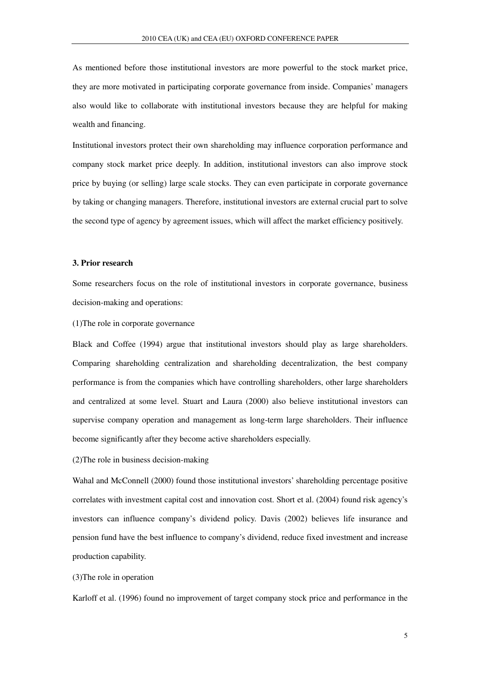As mentioned before those institutional investors are more powerful to the stock market price, they are more motivated in participating corporate governance from inside. Companies' managers also would like to collaborate with institutional investors because they are helpful for making wealth and financing.

Institutional investors protect their own shareholding may influence corporation performance and company stock market price deeply. In addition, institutional investors can also improve stock price by buying (or selling) large scale stocks. They can even participate in corporate governance by taking or changing managers. Therefore, institutional investors are external crucial part to solve the second type of agency by agreement issues, which will affect the market efficiency positively.

#### **3. Prior research**

Some researchers focus on the role of institutional investors in corporate governance, business decision-making and operations:

(1)The role in corporate governance

Black and Coffee (1994) argue that institutional investors should play as large shareholders. Comparing shareholding centralization and shareholding decentralization, the best company performance is from the companies which have controlling shareholders, other large shareholders and centralized at some level. Stuart and Laura (2000) also believe institutional investors can supervise company operation and management as long-term large shareholders. Their influence become significantly after they become active shareholders especially.

(2)The role in business decision-making

Wahal and McConnell (2000) found those institutional investors' shareholding percentage positive correlates with investment capital cost and innovation cost. Short et al. (2004) found risk agency's investors can influence company's dividend policy. Davis (2002) believes life insurance and pension fund have the best influence to company's dividend, reduce fixed investment and increase production capability.

(3)The role in operation

Karloff et al. (1996) found no improvement of target company stock price and performance in the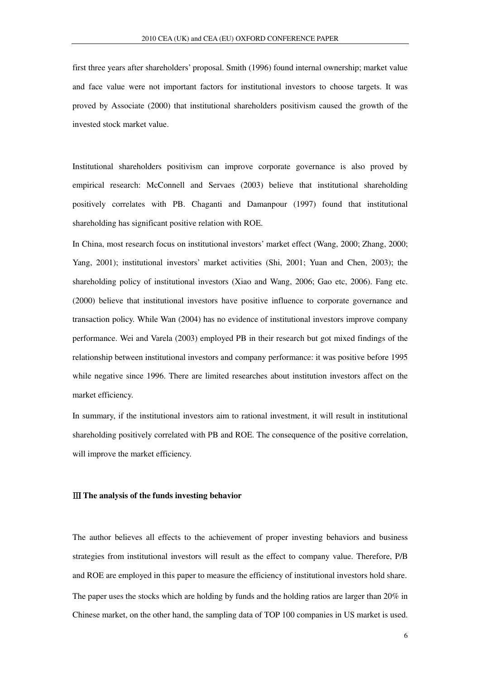first three years after shareholders' proposal. Smith (1996) found internal ownership; market value and face value were not important factors for institutional investors to choose targets. It was proved by Associate (2000) that institutional shareholders positivism caused the growth of the invested stock market value.

Institutional shareholders positivism can improve corporate governance is also proved by empirical research: McConnell and Servaes (2003) believe that institutional shareholding positively correlates with PB. Chaganti and Damanpour (1997) found that institutional shareholding has significant positive relation with ROE.

In China, most research focus on institutional investors' market effect (Wang, 2000; Zhang, 2000; Yang, 2001); institutional investors' market activities (Shi, 2001; Yuan and Chen, 2003); the shareholding policy of institutional investors (Xiao and Wang, 2006; Gao etc, 2006). Fang etc. (2000) believe that institutional investors have positive influence to corporate governance and transaction policy. While Wan (2004) has no evidence of institutional investors improve company performance. Wei and Varela (2003) employed PB in their research but got mixed findings of the relationship between institutional investors and company performance: it was positive before 1995 while negative since 1996. There are limited researches about institution investors affect on the market efficiency.

In summary, if the institutional investors aim to rational investment, it will result in institutional shareholding positively correlated with PB and ROE. The consequence of the positive correlation, will improve the market efficiency.

#### Ⅲ **The analysis of the funds investing behavior**

The author believes all effects to the achievement of proper investing behaviors and business strategies from institutional investors will result as the effect to company value. Therefore, P/B and ROE are employed in this paper to measure the efficiency of institutional investors hold share. The paper uses the stocks which are holding by funds and the holding ratios are larger than 20% in Chinese market, on the other hand, the sampling data of TOP 100 companies in US market is used.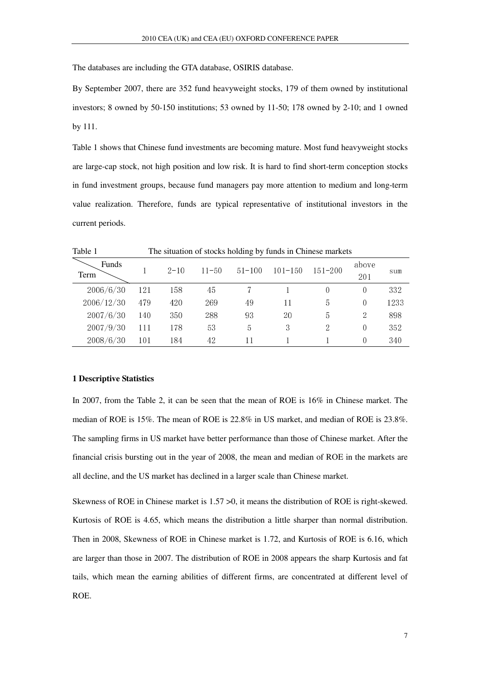The databases are including the GTA database, OSIRIS database.

By September 2007, there are 352 fund heavyweight stocks, 179 of them owned by institutional investors; 8 owned by 50-150 institutions; 53 owned by 11-50; 178 owned by 2-10; and 1 owned by 111.

Table 1 shows that Chinese fund investments are becoming mature. Most fund heavyweight stocks are large-cap stock, not high position and low risk. It is hard to find short-term conception stocks in fund investment groups, because fund managers pay more attention to medium and long-term value realization. Therefore, funds are typical representative of institutional investors in the current periods.

| Table 1       |     |          |           |            |             | The situation of stocks holding by funds in Chinese markets |              |      |
|---------------|-----|----------|-----------|------------|-------------|-------------------------------------------------------------|--------------|------|
| Funds<br>Term |     | $2 - 10$ | $11 - 50$ | $51 - 100$ | $101 - 150$ | $151 - 200$                                                 | above<br>201 | sum  |
| 2006/6/30     | 121 | 158      | 45        |            |             |                                                             | 0            | 332  |
| 2006/12/30    | 479 | 420      | 269       | 49         | 11          | $\overline{5}$                                              | 0            | 1233 |
| 2007/6/30     | 140 | 350      | 288       | 93         | 20          | 5                                                           | 2            | 898  |
| 2007/9/30     | 111 | 178      | 53        | 5          | 3           |                                                             | 0            | 352  |
| 2008/6/30     | 101 | 184      | 42        | 11         |             |                                                             | $\Omega$     | 340  |

#### **1 Descriptive Statistics**

In 2007, from the Table 2, it can be seen that the mean of ROE is 16% in Chinese market. The median of ROE is 15%. The mean of ROE is 22.8% in US market, and median of ROE is 23.8%. The sampling firms in US market have better performance than those of Chinese market. After the financial crisis bursting out in the year of 2008, the mean and median of ROE in the markets are all decline, and the US market has declined in a larger scale than Chinese market.

Skewness of ROE in Chinese market is 1.57 >0, it means the distribution of ROE is right-skewed. Kurtosis of ROE is 4.65, which means the distribution a little sharper than normal distribution. Then in 2008, Skewness of ROE in Chinese market is 1.72, and Kurtosis of ROE is 6.16, which are larger than those in 2007. The distribution of ROE in 2008 appears the sharp Kurtosis and fat tails, which mean the earning abilities of different firms, are concentrated at different level of ROE.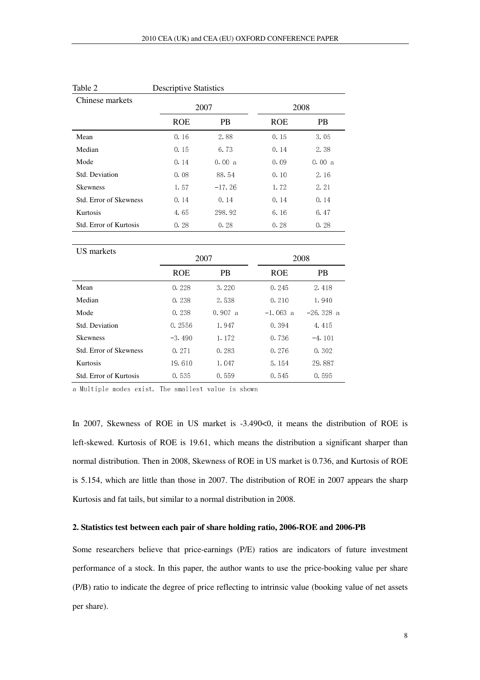| Chinese markets               | 2007       |           |            | 2008      |
|-------------------------------|------------|-----------|------------|-----------|
|                               | <b>ROE</b> | <b>PB</b> | <b>ROE</b> | <b>PB</b> |
| Mean                          | 0.16       | 2.88      | 0.15       | 3.05      |
| Median                        | 0.15       | 6.73      | 0.14       | 2.38      |
| Mode                          | 0.14       | 0.00a     | 0.09       | 0.00a     |
| Std. Deviation                | 0.08       | 88.54     | 0.10       | 2.16      |
| <b>Skewness</b>               | 1.57       | $-17.26$  | 1.72       | 2.21      |
| <b>Std. Error of Skewness</b> | 0.14       | 0.14      | 0.14       | 0.14      |
| Kurtosis                      | 4.65       | 298.92    | 6.16       | 6.47      |
| Std. Error of Kurtosis        | 0.28       | 0.28      | 0.28       | 0.28      |

| Table 2         | <b>Descriptive Statistics</b> |
|-----------------|-------------------------------|
| Chinese markets | 2007                          |

| US markets                    |            | 2007      |            | 2008       |
|-------------------------------|------------|-----------|------------|------------|
|                               | <b>ROE</b> | <b>PB</b> | <b>ROE</b> | <b>PB</b>  |
| Mean                          | 0.228      | 3.220     | 0.245      | 2.418      |
| Median                        | 0.238      | 2.538     | 0.210      | 1.940      |
| Mode                          | 0.238      | 0.907a    | $-1.063$ a | $-26.328a$ |
| Std. Deviation                | 0.2556     | 1.947     | 0.394      | 4.415      |
| <b>Skewness</b>               | $-3.490$   | 1.172     | 0.736      | $-4.101$   |
| <b>Std. Error of Skewness</b> | 0.271      | 0.283     | 0.276      | 0.302      |
| Kurtosis                      | 19.610     | 1.047     | 5.154      | 29.887     |
| Std. Error of Kurtosis        | 0.535      | 0.559     | 0.545      | 0.595      |

a Multiple modes exist. The smallest value is shown

In 2007, Skewness of ROE in US market is -3.490<0, it means the distribution of ROE is left-skewed. Kurtosis of ROE is 19.61, which means the distribution a significant sharper than normal distribution. Then in 2008, Skewness of ROE in US market is 0.736, and Kurtosis of ROE is 5.154, which are little than those in 2007. The distribution of ROE in 2007 appears the sharp Kurtosis and fat tails, but similar to a normal distribution in 2008.

#### **2. Statistics test between each pair of share holding ratio, 2006-ROE and 2006-PB**

Some researchers believe that price-earnings (P/E) ratios are indicators of future investment performance of a stock. In this paper, the author wants to use the price-booking value per share (P/B) ratio to indicate the degree of price reflecting to intrinsic value (booking value of net assets per share).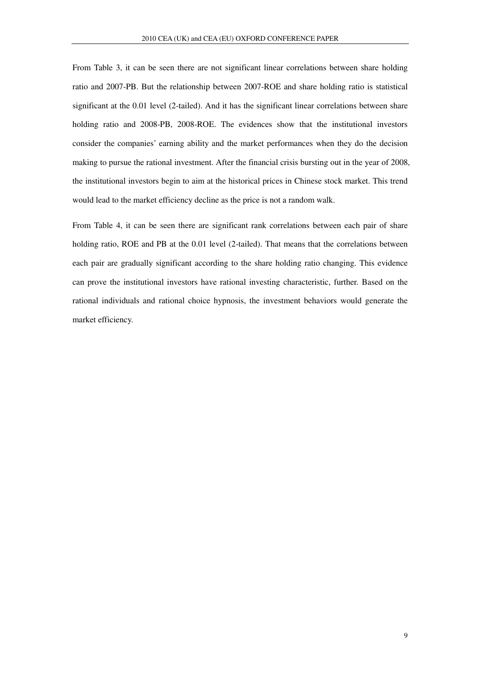From Table 3, it can be seen there are not significant linear correlations between share holding ratio and 2007-PB. But the relationship between 2007-ROE and share holding ratio is statistical significant at the 0.01 level (2-tailed). And it has the significant linear correlations between share holding ratio and 2008-PB, 2008-ROE. The evidences show that the institutional investors consider the companies' earning ability and the market performances when they do the decision making to pursue the rational investment. After the financial crisis bursting out in the year of 2008, the institutional investors begin to aim at the historical prices in Chinese stock market. This trend would lead to the market efficiency decline as the price is not a random walk.

From Table 4, it can be seen there are significant rank correlations between each pair of share holding ratio, ROE and PB at the 0.01 level (2-tailed). That means that the correlations between each pair are gradually significant according to the share holding ratio changing. This evidence can prove the institutional investors have rational investing characteristic, further. Based on the rational individuals and rational choice hypnosis, the investment behaviors would generate the market efficiency.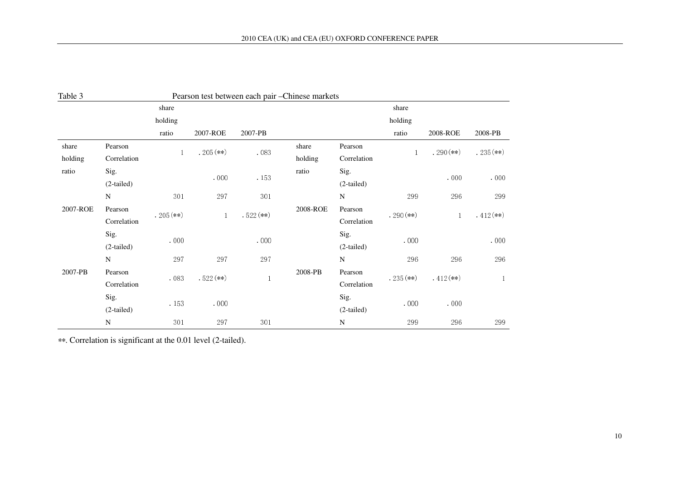| Table 3  |             |              |              |             | Pearson test between each pair -Chinese markets |              |              |             |             |
|----------|-------------|--------------|--------------|-------------|-------------------------------------------------|--------------|--------------|-------------|-------------|
|          |             | share        |              |             |                                                 |              | share        |             |             |
|          |             | holding      |              |             |                                                 |              | holding      |             |             |
|          |             | ratio        | 2007-ROE     | 2007-PB     |                                                 |              | ratio        | 2008-ROE    | 2008-PB     |
| share    | Pearson     |              | $.205$ (**)  |             | share                                           | Pearson      |              | $.290$ (**) |             |
| holding  | Correlation | $\mathbf{1}$ |              | .083        | holding                                         | Correlation  | $\mathbf{1}$ |             | $.235$ (**) |
| ratio    | Sig.        |              | .000         | . 153       | ratio                                           | Sig.         |              | .000        | .000        |
|          | (2-tailed)  |              |              |             |                                                 | $(2-tailed)$ |              |             |             |
|          | N           | 301          | 297          | 301         |                                                 | N            | 299          | 296         | 299         |
| 2007-ROE | Pearson     | $.205$ (**)  |              |             | 2008-ROE                                        | Pearson      |              |             | $.412$ (**) |
|          | Correlation |              | $\mathbf{1}$ | $.522$ (**) |                                                 | Correlation  | $.290$ (**)  | 1           |             |
|          | Sig.        | .000         |              | .000        |                                                 | Sig.         | .000         |             | .000        |
|          | (2-tailed)  |              |              |             |                                                 | $(2-tailed)$ |              |             |             |
|          | $\mathbf N$ | 297          | 297          | 297         |                                                 | ${\bf N}$    | 296          | 296         | 296         |
| 2007-PB  | Pearson     |              | $.522$ (**)  |             | 2008-PB                                         | Pearson      | $.235$ (**)  | $.412$ (**) |             |
|          | Correlation | .083         |              |             |                                                 | Correlation  |              |             | 1           |
|          | Sig.        |              |              |             |                                                 | Sig.         |              |             |             |
|          | (2-tailed)  | . 153        | .000         |             |                                                 | (2-tailed)   | .000         | .000        |             |
|          | ${\bf N}$   | $301\,$      | 297          | 301         |                                                 | N            | 299          | 296         | 299         |

\*\*. Correlation is significant at the 0.01 level (2-tailed).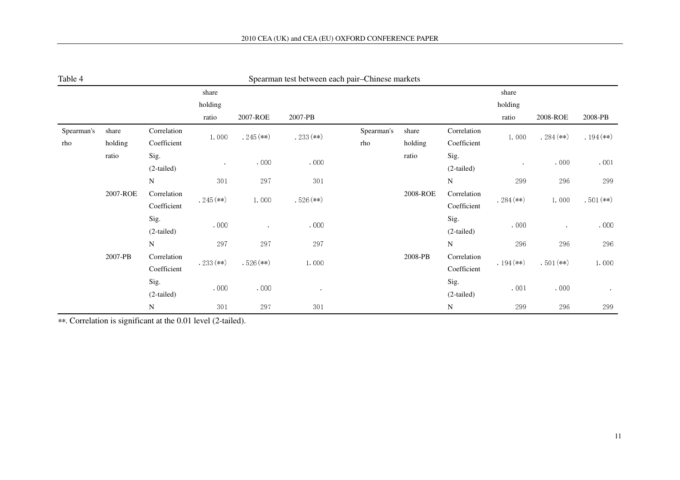| Table 4    |          |                            |             |             | Spearman test between each pair–Chinese markets |            |          |                            |             |             |             |
|------------|----------|----------------------------|-------------|-------------|-------------------------------------------------|------------|----------|----------------------------|-------------|-------------|-------------|
|            |          |                            | share       |             |                                                 |            |          |                            | share       |             |             |
|            |          |                            | holding     |             |                                                 |            |          |                            | holding     |             |             |
|            |          |                            | ratio       | 2007-ROE    | 2007-PB                                         |            |          |                            | ratio       | 2008-ROE    | 2008-PB     |
| Spearman's | share    | Correlation                | 1.000       | $.245$ (**) | $.233$ (**)                                     | Spearman's | share    | Correlation                | 1.000       | $.284$ (**) | $.194$ (**) |
| rho        | holding  | Coefficient                |             |             |                                                 | rho        | holding  | Coefficient                |             |             |             |
|            | ratio    | Sig.<br>(2-tailed)         | $\sim$      | .000        | .000                                            |            | ratio    | Sig.<br>$(2-tailed)$       |             | .000        | .001        |
|            |          | N                          | 301         | 297         | $30\sqrt{1}$                                    |            |          | ${\bf N}$                  | 299         | 296         | 299         |
|            | 2007-ROE | Correlation                | $.245$ (**) |             | $.526$ (**)                                     |            | 2008-ROE | Correlation                | $.284$ (**) |             | $.501$ (**) |
|            |          | Coefficient                |             | 1.000       |                                                 |            |          | Coefficient                |             | 1.000       |             |
|            |          | Sig.<br>(2-tailed)         | .000        | $\epsilon$  | .000                                            |            |          | Sig.<br>(2-tailed)         | .000        |             | .000        |
|            |          | N                          | 297         | 297         | 297                                             |            |          | ${\bf N}$                  | 296         | 296         | 296         |
|            | 2007-PB  | Correlation<br>Coefficient | $.233$ (**) | $.526$ (**) | 1.000                                           |            | 2008-PB  | Correlation<br>Coefficient | $.194$ (**) | $.501$ (**) | 1.000       |
|            |          | Sig.<br>(2-tailed)         | .000        | .000        |                                                 |            |          | Sig.<br>$(2-tailed)$       | .001        | .000        | $\alpha$    |
|            |          | ${\bf N}$                  | 301         | 297         | $3\,0\,1$                                       |            |          | ${\bf N}$                  | 299         | 296         | 299         |

| Spearman test between each pair–Chinese markets |
|-------------------------------------------------|
|-------------------------------------------------|

\*\*. Correlation is significant at the 0.01 level (2-tailed).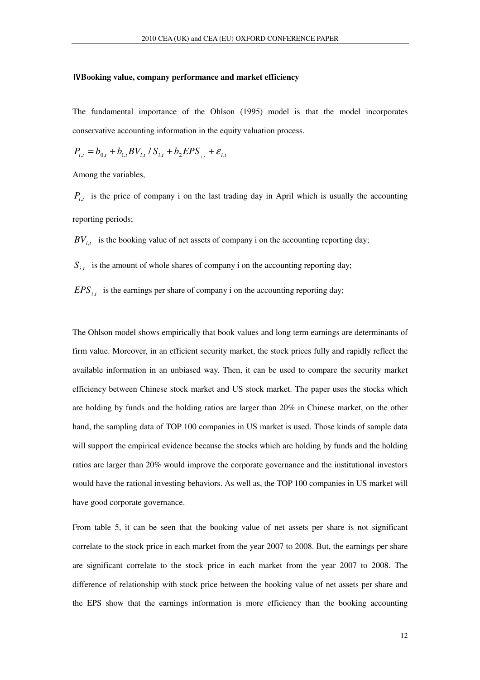#### Ⅳ**Booking value, company performance and market efficiency**

The fundamental importance of the Ohlson (1995) model is that the model incorporates conservative accounting information in the equity valuation process.

$$
P_{i,t} = b_{0,t} + b_{1,t}BV_{i,t} / S_{i,t} + b_2EPS_{i,t} + \varepsilon_{i,t}
$$

Among the variables,

 $P_{i,t}$  is the price of company i on the last trading day in April which is usually the accounting reporting periods;

 $BV_{i,t}$  is the booking value of net assets of company i on the accounting reporting day;

 $S_{i,t}$  is the amount of whole shares of company i on the accounting reporting day;

 $EPS$ <sub>i,t</sub> is the earnings per share of company i on the accounting reporting day;

The Ohlson model shows empirically that book values and long term earnings are determinants of firm value. Moreover, in an efficient security market, the stock prices fully and rapidly reflect the available information in an unbiased way. Then, it can be used to compare the security market efficiency between Chinese stock market and US stock market. The paper uses the stocks which are holding by funds and the holding ratios are larger than 20% in Chinese market, on the other hand, the sampling data of TOP 100 companies in US market is used. Those kinds of sample data will support the empirical evidence because the stocks which are holding by funds and the holding ratios are larger than 20% would improve the corporate governance and the institutional investors would have the rational investing behaviors. As well as, the TOP 100 companies in US market will have good corporate governance.

From table 5, it can be seen that the booking value of net assets per share is not significant correlate to the stock price in each market from the year 2007 to 2008. But, the earnings per share are significant correlate to the stock price in each market from the year 2007 to 2008. The difference of relationship with stock price between the booking value of net assets per share and the EPS show that the earnings information is more efficiency than the booking accounting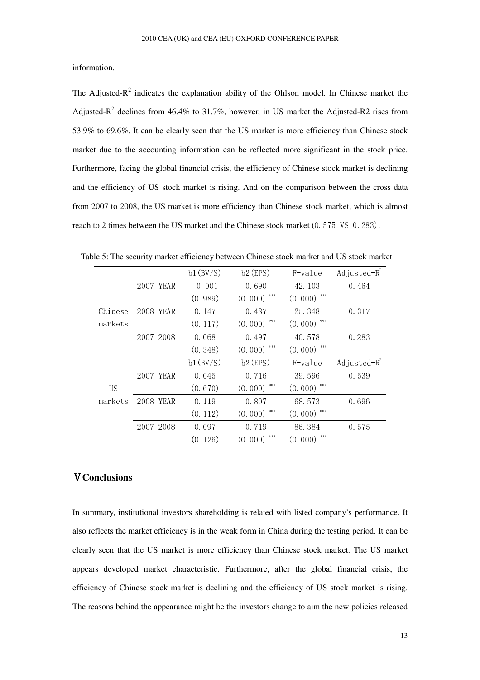information.

The Adjusted- $R^2$  indicates the explanation ability of the Ohlson model. In Chinese market the Adjusted- $R^2$  declines from 46.4% to 31.7%, however, in US market the Adjusted-R2 rises from 53.9% to 69.6%. It can be clearly seen that the US market is more efficiency than Chinese stock market due to the accounting information can be reflected more significant in the stock price. Furthermore, facing the global financial crisis, the efficiency of Chinese stock market is declining and the efficiency of US stock market is rising. And on the comparison between the cross data from 2007 to 2008, the US market is more efficiency than Chinese stock market, which is almost reach to 2 times between the US market and the Chinese stock market (0.575 VS 0.283).

|           |               | b1(BV/S) | $b2$ (EPS) | F-value    | Adjusted $-R^2$  |
|-----------|---------------|----------|------------|------------|------------------|
|           | 2007 YEAR     | $-0.001$ | 0.690      | 42.103     | 0.464            |
|           |               | (0.989)  | (0.000)    | (0.000)    |                  |
| Chinese   | 2008<br>YEAR  | 0.147    | 0.487      | 25.348     | 0.317            |
| markets   |               | (0.117)  | (0.000)    | (0.000)    |                  |
|           | $2007 - 2008$ | 0.068    | 0.497      | 40.578     | 0.283            |
|           |               | (0.348)  | (0.000)    | (0.000)    |                  |
|           |               |          |            |            |                  |
|           |               | b1(BV/S) | $b2$ (EPS) | $F$ -value | Ad justed $-R^2$ |
|           | 2007 YEAR     | 0.045    | 0.716      | 39.596     | 0.539            |
| <b>US</b> |               | (0.670)  | (0.000)    | (0.000)    |                  |
| markets   | 2008<br>YEAR  | 0.119    | 0.807      | 68.573     | 0.696            |
|           |               | (0.112)  | (0.000)    | (0.000)    |                  |
|           | $2007 - 2008$ | 0.097    | 0.719      | 86.384     | 0.575            |

Table 5: The security market efficiency between Chinese stock market and US stock market

### Ⅴ**Conclusions**

In summary, institutional investors shareholding is related with listed company's performance. It also reflects the market efficiency is in the weak form in China during the testing period. It can be clearly seen that the US market is more efficiency than Chinese stock market. The US market appears developed market characteristic. Furthermore, after the global financial crisis, the efficiency of Chinese stock market is declining and the efficiency of US stock market is rising. The reasons behind the appearance might be the investors change to aim the new policies released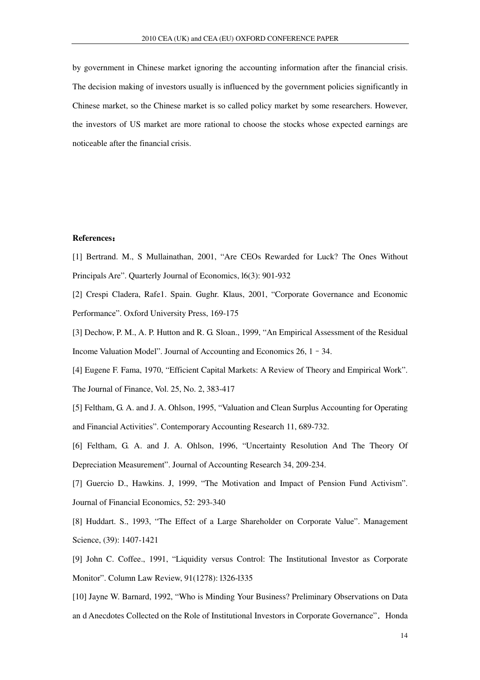by government in Chinese market ignoring the accounting information after the financial crisis. The decision making of investors usually is influenced by the government policies significantly in Chinese market, so the Chinese market is so called policy market by some researchers. However, the investors of US market are more rational to choose the stocks whose expected earnings are noticeable after the financial crisis.

#### **References**:

[1] Bertrand. M., S Mullainathan, 2001, "Are CEOs Rewarded for Luck? The Ones Without Principals Are". Quarterly Journal of Economics, l6(3): 901-932

[2] Crespi Cladera, Rafe1. Spain. Gughr. Klaus, 2001, "Corporate Governance and Economic Performance". Oxford University Press, 169-175

[3] Dechow, P. M., A. P. Hutton and R. G. Sloan., 1999, "An Empirical Assessment of the Residual Income Valuation Model". Journal of Accounting and Economics 26, 1–34.

[4] Eugene F. Fama, 1970, "Efficient Capital Markets: A Review of Theory and Empirical Work".

The Journal of Finance, Vol. 25, No. 2, 383-417

[5] Feltham, G. A. and J. A. Ohlson, 1995, "Valuation and Clean Surplus Accounting for Operating and Financial Activities". Contemporary Accounting Research 11, 689-732.

[6] Feltham, G. A. and J. A. Ohlson, 1996, "Uncertainty Resolution And The Theory Of Depreciation Measurement". Journal of Accounting Research 34, 209-234.

[7] Guercio D., Hawkins. J, 1999, "The Motivation and Impact of Pension Fund Activism". Journal of Financial Economics, 52: 293-340

[8] Huddart. S., 1993, "The Effect of a Large Shareholder on Corporate Value". Management Science, (39): 1407-1421

[9] John C. Coffee., 1991, "Liquidity versus Control: The Institutional Investor as Corporate Monitor". Column Law Review, 91(1278): l326-l335

[10] Jayne W. Barnard, 1992, "Who is Minding Your Business? Preliminary Observations on Data an d Anecdotes Collected on the Role of Institutional Investors in Corporate Governance". Honda